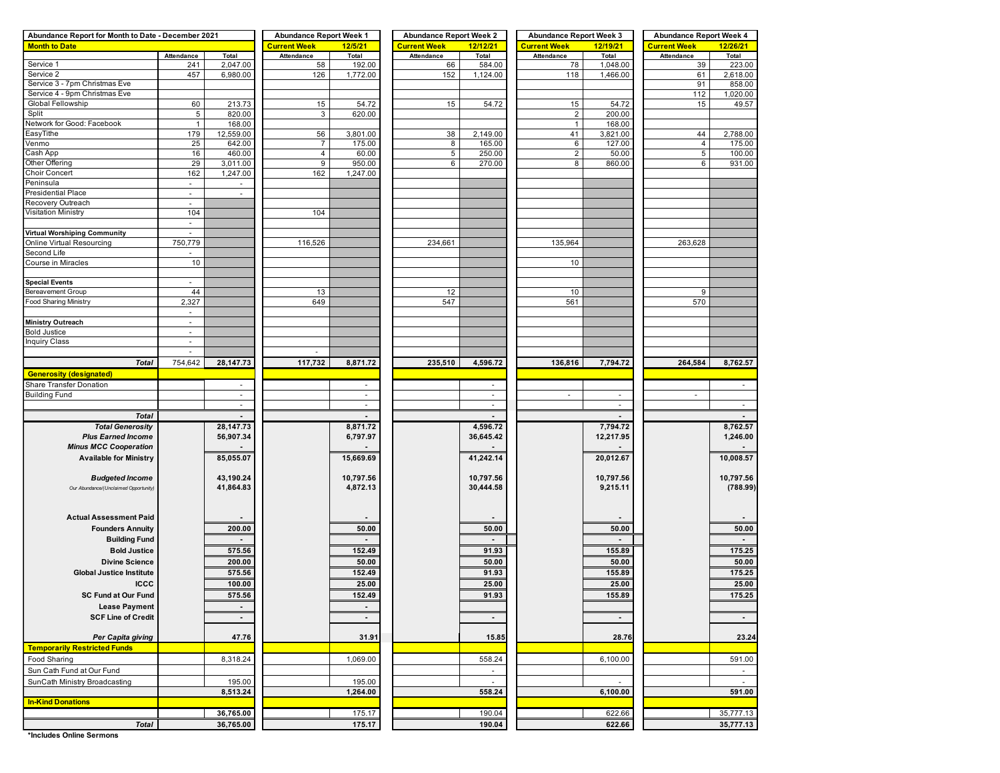| Abundance Report for Month to Date - December 2021 |                          |                             | <b>Abundance Report Week 1</b> |                          | <b>Abundance Report Week 2</b> |                          | <b>Abundance Report Week 3</b> |                          | <b>Abundance Report Week 4</b> |                          |  |  |
|----------------------------------------------------|--------------------------|-----------------------------|--------------------------------|--------------------------|--------------------------------|--------------------------|--------------------------------|--------------------------|--------------------------------|--------------------------|--|--|
| <b>Month to Date</b>                               |                          |                             | <b>Current Week</b>            | 12/5/21                  | <b>Current Week</b>            | 12/12/21                 | <b>Current Week</b>            | 12/19/21                 | <b>Current Week</b>            | 12/26/21                 |  |  |
|                                                    | Attendance               | Total                       | Attendance                     | Total                    | Attendance                     | Total                    | Attendance                     | Total                    | Attendance                     | Total                    |  |  |
| Service 1                                          | 241                      | 2,047.00                    | 58                             | 192.00                   | 66                             | 584.00                   | 78                             | 1,048.00                 | 39                             | 223.00                   |  |  |
| Service 2                                          | 457                      | 6,980.00                    | 126                            | 1,772.00                 | 152                            | 1,124.00                 | 118                            | 1,466.00                 | 61                             | 2,618.00                 |  |  |
| Service 3 - 7pm Christmas Eve                      |                          |                             |                                |                          |                                |                          |                                |                          | 91                             | 858.00                   |  |  |
| Service 4 - 9pm Christmas Eve                      |                          |                             |                                |                          |                                |                          |                                |                          | 112                            | 1,020.00                 |  |  |
| Global Fellowship                                  | 60                       | 213.73                      | 15                             | 54.72                    | 15                             | 54.72                    | 15                             | 54.72                    | 15                             | 49.57                    |  |  |
| Split                                              | 5                        | 820.00                      | 3                              | 620.00                   |                                |                          | $\overline{2}$                 | 200.00                   |                                |                          |  |  |
| Network for Good: Facebook                         | $\mathbf{1}$             | 168.00                      |                                |                          |                                |                          | $\mathbf{1}$                   | 168.00                   |                                |                          |  |  |
| EasyTithe                                          | 179                      | 12,559.00                   | 56                             | 3,801.00                 | 38                             | 2,149.00                 | 41                             | 3,821.00                 | 44                             | 2,788.00                 |  |  |
| Venmo                                              | 25                       | 642.00                      | $\overline{7}$                 | 175.00                   | 8                              | 165.00                   | 6                              | 127.00                   | 4                              | 175.00                   |  |  |
| Cash App                                           | 16                       | 460.00                      | $\overline{4}$                 | 60.00                    | 5                              | 250.00                   | $\overline{2}$                 | 50.00                    | 5                              | 100.00                   |  |  |
| Other Offering                                     | 29                       | 3,011.00                    | 9                              | 950.00                   | 6                              | 270.00                   | 8                              | 860.00                   | 6                              | 931.00                   |  |  |
| <b>Choir Concert</b>                               | 162                      | 1,247.00                    | 162                            | 1,247.00                 |                                |                          |                                |                          |                                |                          |  |  |
| Peninsula                                          | $\overline{\phantom{a}}$ |                             |                                |                          |                                |                          |                                |                          |                                |                          |  |  |
| Presidential Place                                 | $\sim$                   | $\mathcal{L}_{\mathcal{A}}$ |                                |                          |                                |                          |                                |                          |                                |                          |  |  |
| Recovery Outreach                                  | $\overline{\phantom{a}}$ |                             |                                |                          |                                |                          |                                |                          |                                |                          |  |  |
| <b>Visitation Ministry</b>                         | 104                      |                             | 104                            |                          |                                |                          |                                |                          |                                |                          |  |  |
|                                                    | $\sim$                   |                             |                                |                          |                                |                          |                                |                          |                                |                          |  |  |
| <b>Virtual Worshiping Community</b>                | $\overline{\phantom{a}}$ |                             |                                |                          |                                |                          |                                |                          |                                |                          |  |  |
| Online Virtual Resourcing                          | 750,779                  |                             | 116,526                        |                          | 234,661                        |                          | 135,964                        |                          | 263,628                        |                          |  |  |
| Second Life                                        | ٠                        |                             |                                |                          |                                |                          |                                |                          |                                |                          |  |  |
| Course in Miracles                                 | 10                       |                             |                                |                          |                                |                          | 10                             |                          |                                |                          |  |  |
|                                                    |                          |                             |                                |                          |                                |                          |                                |                          |                                |                          |  |  |
| <b>Special Events</b>                              | $\overline{\phantom{a}}$ |                             |                                |                          |                                |                          |                                |                          |                                |                          |  |  |
| Bereavement Group                                  | 44                       |                             | 13                             |                          | 12                             |                          | 10                             |                          | 9                              |                          |  |  |
| Food Sharing Ministry                              | 2,327                    |                             | 649                            |                          | 547                            |                          | 561                            |                          | 570                            |                          |  |  |
|                                                    | $\sim$                   |                             |                                |                          |                                |                          |                                |                          |                                |                          |  |  |
| <b>Ministry Outreach</b>                           | $\sim$                   |                             |                                |                          |                                |                          |                                |                          |                                |                          |  |  |
| <b>Bold Justice</b>                                | $\overline{\phantom{a}}$ |                             |                                |                          |                                |                          |                                |                          |                                |                          |  |  |
| <b>Inquiry Class</b>                               | ÷,                       |                             |                                |                          |                                |                          |                                |                          |                                |                          |  |  |
|                                                    | $\sim$                   |                             | $\sim$                         |                          |                                |                          |                                |                          |                                |                          |  |  |
| <b>Total</b>                                       | 754,642                  | 28,147.73                   | 117,732                        | 8,871.72                 | 235,510                        | 4,596.72                 | 136,816                        | 7,794.72                 | 264,584                        | 8,762.57                 |  |  |
| <b>Generosity (designated)</b>                     |                          |                             |                                |                          |                                |                          |                                |                          |                                |                          |  |  |
| Share Transfer Donation                            |                          | $\sim$                      |                                | $\sim$                   |                                | ٠                        |                                |                          |                                | $\overline{\phantom{a}}$ |  |  |
| <b>Building Fund</b>                               |                          | $\overline{\phantom{a}}$    |                                | $\overline{\phantom{a}}$ |                                | $\overline{\phantom{a}}$ | ä,                             | $\overline{\phantom{a}}$ |                                |                          |  |  |
|                                                    |                          | $\sim$                      |                                | $\sim$                   |                                | $\sim$                   |                                | $\sim$                   |                                | $\sim$                   |  |  |
| <b>Total</b>                                       |                          |                             |                                |                          |                                |                          |                                |                          |                                |                          |  |  |
| <b>Total Generosity</b>                            |                          |                             |                                |                          |                                |                          |                                |                          |                                |                          |  |  |
|                                                    |                          | 28,147.73                   |                                | 8,871.72                 |                                | 4,596.72                 |                                | 7,794.72                 |                                | 8,762.57                 |  |  |
| <b>Plus Earned Income</b>                          |                          | 56,907.34                   |                                | 6,797.97                 |                                | 36,645.42                |                                | 12,217.95                |                                | 1,246.00                 |  |  |
| <b>Minus MCC Cooperation</b>                       |                          |                             |                                |                          |                                |                          |                                |                          |                                |                          |  |  |
| <b>Available for Ministry</b>                      |                          | 85,055.07                   |                                | 15,669.69                |                                | 41,242.14                |                                | 20,012.67                |                                | 10,008.57                |  |  |
|                                                    |                          |                             |                                |                          |                                |                          |                                |                          |                                |                          |  |  |
| <b>Budgeted Income</b>                             |                          | 43,190.24                   |                                | 10,797.56                |                                | 10,797.56                |                                | 10,797.56                |                                | 10,797.56                |  |  |
| Our Abundance/(Unclaimed Opportunity)              |                          | 41,864.83                   |                                | 4,872.13                 |                                | 30,444.58                |                                | 9,215.11                 |                                | (788.99)                 |  |  |
|                                                    |                          |                             |                                |                          |                                |                          |                                |                          |                                |                          |  |  |
|                                                    |                          |                             |                                |                          |                                |                          |                                |                          |                                |                          |  |  |
| <b>Actual Assessment Paid</b>                      |                          |                             |                                |                          |                                |                          |                                |                          |                                |                          |  |  |
| <b>Founders Annuity</b>                            |                          | 200.00                      |                                | 50.00                    |                                | 50.00                    |                                | 50.00                    |                                | 50.00                    |  |  |
| <b>Building Fund</b>                               |                          |                             |                                |                          |                                |                          |                                |                          |                                | $\blacksquare$           |  |  |
| <b>Bold Justice</b>                                |                          | 575.56                      |                                | 152.49                   |                                | 91.93                    |                                | 155.89                   |                                | 175.25                   |  |  |
|                                                    |                          |                             |                                |                          |                                |                          |                                |                          |                                |                          |  |  |
| <b>Divine Science</b>                              |                          | 200.00                      |                                | 50.00                    |                                | 50.00                    |                                | 50.00                    |                                | 50.00                    |  |  |
| <b>Global Justice Institute</b>                    |                          | 575.56                      |                                | 152.49                   |                                | 91.93                    |                                | 155.89                   |                                | 175.25                   |  |  |
| <b>ICCC</b>                                        |                          | 100.00                      |                                | 25.00                    |                                | 25.00                    |                                | 25.00                    |                                | 25.00                    |  |  |
| <b>SC Fund at Our Fund</b>                         |                          | 575.56                      |                                | 152.49                   |                                | 91.93                    |                                | 155.89                   |                                | 175.25                   |  |  |
| <b>Lease Payment</b>                               |                          | $\blacksquare$              |                                |                          |                                |                          |                                |                          |                                |                          |  |  |
| <b>SCF Line of Credit</b>                          |                          | $\blacksquare$              |                                | $\blacksquare$           |                                | $\blacksquare$           |                                | $\sim$                   |                                | $\sim$                   |  |  |
|                                                    |                          |                             |                                |                          |                                |                          |                                |                          |                                |                          |  |  |
| Per Capita giving                                  |                          | 47.76                       |                                | 31.91                    |                                | 15.85                    |                                | 28.76                    |                                | 23.24                    |  |  |
| <b>Temporarily Restricted Funds</b>                |                          |                             |                                |                          |                                |                          |                                |                          |                                |                          |  |  |
| Food Sharing                                       |                          | 8,318.24                    |                                | 1,069.00                 |                                | 558.24                   |                                | 6,100.00                 |                                |                          |  |  |
| Sun Cath Fund at Our Fund                          |                          |                             |                                |                          |                                | $\blacksquare$           |                                |                          |                                | 591.00                   |  |  |
|                                                    |                          |                             |                                |                          |                                | $\sim$                   |                                |                          |                                | $\sim$                   |  |  |
| SunCath Ministry Broadcasting                      |                          | 195.00                      |                                | 195.00<br>1,264.00       |                                | 558.24                   |                                |                          |                                | 591.00                   |  |  |
|                                                    |                          | 8,513.24                    |                                |                          |                                |                          |                                | 6,100.00                 |                                |                          |  |  |
| <b>In-Kind Donations</b>                           |                          |                             |                                |                          |                                |                          |                                |                          |                                |                          |  |  |
| <b>Total</b>                                       |                          | 36,765.00<br>36,765.00      |                                | 175.17<br>175.17         |                                | 190.04<br>190.04         |                                | 622.66<br>622.66         |                                | 35,777.13<br>35,777.13   |  |  |

**\*Includes Online Sermons**